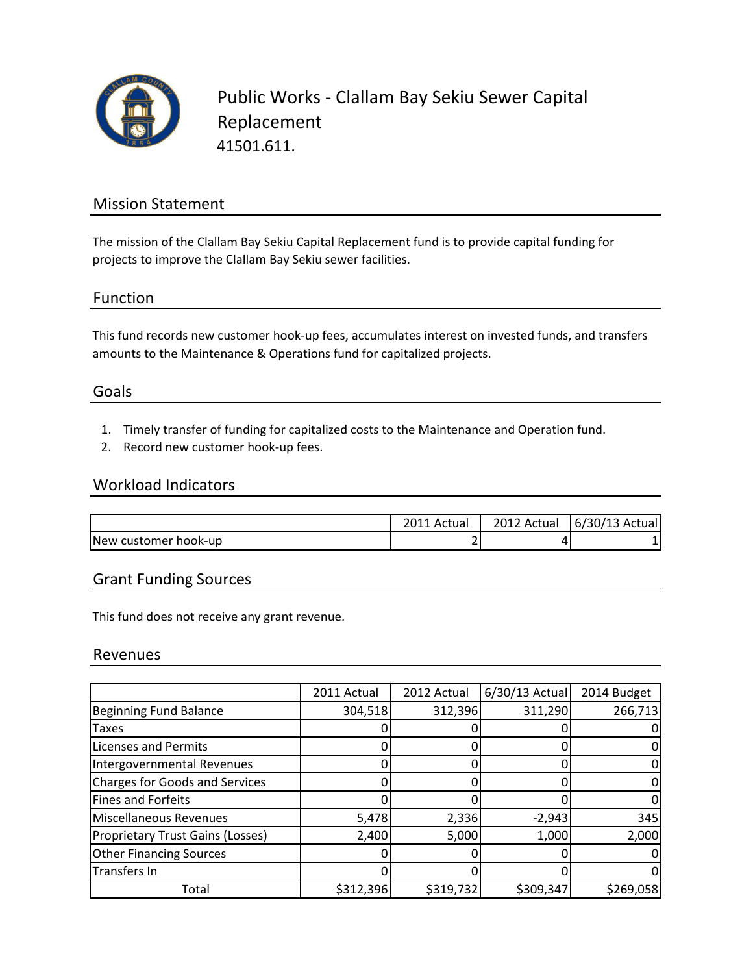

Public Works - Clallam Bay Sekiu Sewer Capital Replacement 41501.611.

## Mission Statement

The mission of the Clallam Bay Sekiu Capital Replacement fund is to provide capital funding for projects to improve the Clallam Bay Sekiu sewer facilities.

## Function

This fund records new customer hook-up fees, accumulates interest on invested funds, and transfers amounts to the Maintenance & Operations fund for capitalized projects.

### Goals

- 1. Timely transfer of funding for capitalized costs to the Maintenance and Operation fund.
- 2. Record new customer hook-up fees.

#### Workload Indicators

|                              | Actual | 2012 Actual | 6/30/13 Actual |
|------------------------------|--------|-------------|----------------|
| <b>INew customer hook-up</b> | ∼<br>▃ |             |                |

## Grant Funding Sources

This fund does not receive any grant revenue.

#### Revenues

|                                         | 2011 Actual | 2012 Actual | $6/30/13$ Actual | 2014 Budget |
|-----------------------------------------|-------------|-------------|------------------|-------------|
| <b>Beginning Fund Balance</b>           | 304,518     | 312,396     | 311,290          | 266,713     |
| <b>Taxes</b>                            |             |             |                  |             |
| <b>Licenses and Permits</b>             |             |             |                  |             |
| Intergovernmental Revenues              |             |             |                  |             |
| <b>Charges for Goods and Services</b>   |             |             |                  |             |
| Fines and Forfeits                      |             |             |                  |             |
| Miscellaneous Revenues                  | 5,478       | 2,336       | $-2,943$         | 345         |
| <b>Proprietary Trust Gains (Losses)</b> | 2,400       | 5,000       | 1,000            | 2,000       |
| <b>Other Financing Sources</b>          | 0           |             |                  |             |
| Transfers In                            |             |             |                  |             |
| Total                                   | \$312,396   | \$319,732   | \$309,347        | \$269,058   |